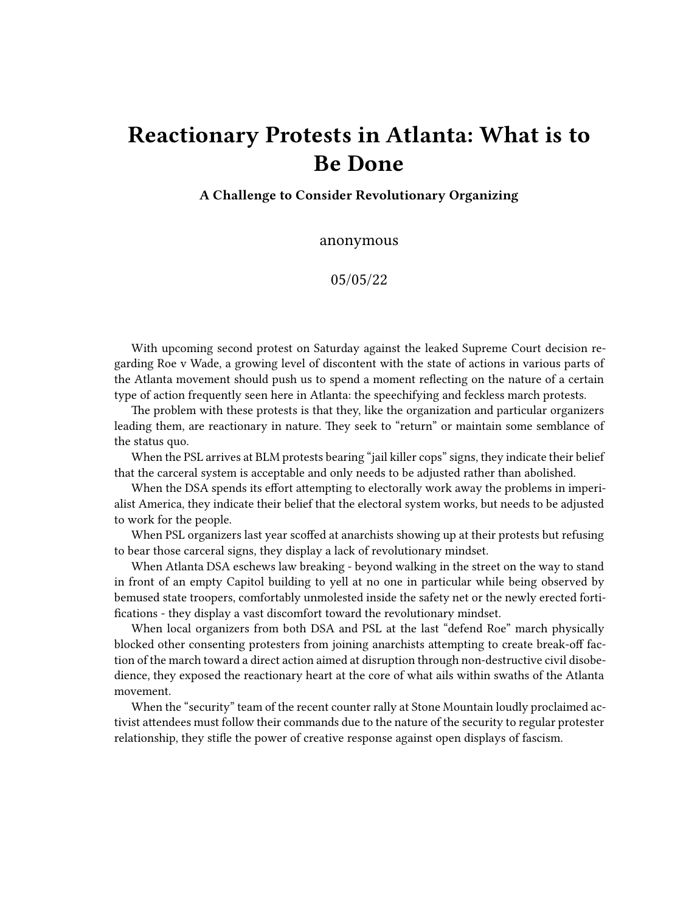## **Reactionary Protests in Atlanta: What is to Be Done**

**A Challenge to Consider Revolutionary Organizing**

anonymous

05/05/22

With upcoming second protest on Saturday against the leaked Supreme Court decision regarding Roe v Wade, a growing level of discontent with the state of actions in various parts of the Atlanta movement should push us to spend a moment reflecting on the nature of a certain type of action frequently seen here in Atlanta: the speechifying and feckless march protests.

The problem with these protests is that they, like the organization and particular organizers leading them, are reactionary in nature. They seek to "return" or maintain some semblance of the status quo.

When the PSL arrives at BLM protests bearing "jail killer cops" signs, they indicate their belief that the carceral system is acceptable and only needs to be adjusted rather than abolished.

When the DSA spends its effort attempting to electorally work away the problems in imperialist America, they indicate their belief that the electoral system works, but needs to be adjusted to work for the people.

When PSL organizers last year scoffed at anarchists showing up at their protests but refusing to bear those carceral signs, they display a lack of revolutionary mindset.

When Atlanta DSA eschews law breaking - beyond walking in the street on the way to stand in front of an empty Capitol building to yell at no one in particular while being observed by bemused state troopers, comfortably unmolested inside the safety net or the newly erected fortifications - they display a vast discomfort toward the revolutionary mindset.

When local organizers from both DSA and PSL at the last "defend Roe" march physically blocked other consenting protesters from joining anarchists attempting to create break-off faction of the march toward a direct action aimed at disruption through non-destructive civil disobedience, they exposed the reactionary heart at the core of what ails within swaths of the Atlanta movement.

When the "security" team of the recent counter rally at Stone Mountain loudly proclaimed activist attendees must follow their commands due to the nature of the security to regular protester relationship, they stifle the power of creative response against open displays of fascism.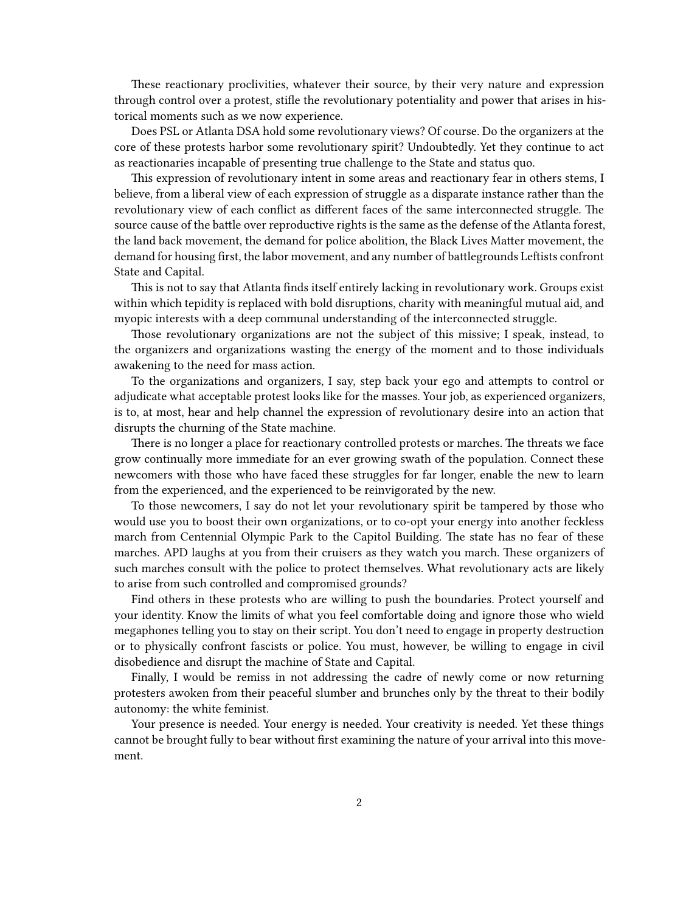These reactionary proclivities, whatever their source, by their very nature and expression through control over a protest, stifle the revolutionary potentiality and power that arises in historical moments such as we now experience.

Does PSL or Atlanta DSA hold some revolutionary views? Of course. Do the organizers at the core of these protests harbor some revolutionary spirit? Undoubtedly. Yet they continue to act as reactionaries incapable of presenting true challenge to the State and status quo.

This expression of revolutionary intent in some areas and reactionary fear in others stems, I believe, from a liberal view of each expression of struggle as a disparate instance rather than the revolutionary view of each conflict as different faces of the same interconnected struggle. The source cause of the battle over reproductive rights is the same as the defense of the Atlanta forest, the land back movement, the demand for police abolition, the Black Lives Matter movement, the demand for housing first, the labor movement, and any number of battlegrounds Leftists confront State and Capital.

This is not to say that Atlanta finds itself entirely lacking in revolutionary work. Groups exist within which tepidity is replaced with bold disruptions, charity with meaningful mutual aid, and myopic interests with a deep communal understanding of the interconnected struggle.

Those revolutionary organizations are not the subject of this missive; I speak, instead, to the organizers and organizations wasting the energy of the moment and to those individuals awakening to the need for mass action.

To the organizations and organizers, I say, step back your ego and attempts to control or adjudicate what acceptable protest looks like for the masses. Your job, as experienced organizers, is to, at most, hear and help channel the expression of revolutionary desire into an action that disrupts the churning of the State machine.

There is no longer a place for reactionary controlled protests or marches. The threats we face grow continually more immediate for an ever growing swath of the population. Connect these newcomers with those who have faced these struggles for far longer, enable the new to learn from the experienced, and the experienced to be reinvigorated by the new.

To those newcomers, I say do not let your revolutionary spirit be tampered by those who would use you to boost their own organizations, or to co-opt your energy into another feckless march from Centennial Olympic Park to the Capitol Building. The state has no fear of these marches. APD laughs at you from their cruisers as they watch you march. These organizers of such marches consult with the police to protect themselves. What revolutionary acts are likely to arise from such controlled and compromised grounds?

Find others in these protests who are willing to push the boundaries. Protect yourself and your identity. Know the limits of what you feel comfortable doing and ignore those who wield megaphones telling you to stay on their script. You don't need to engage in property destruction or to physically confront fascists or police. You must, however, be willing to engage in civil disobedience and disrupt the machine of State and Capital.

Finally, I would be remiss in not addressing the cadre of newly come or now returning protesters awoken from their peaceful slumber and brunches only by the threat to their bodily autonomy: the white feminist.

Your presence is needed. Your energy is needed. Your creativity is needed. Yet these things cannot be brought fully to bear without first examining the nature of your arrival into this movement.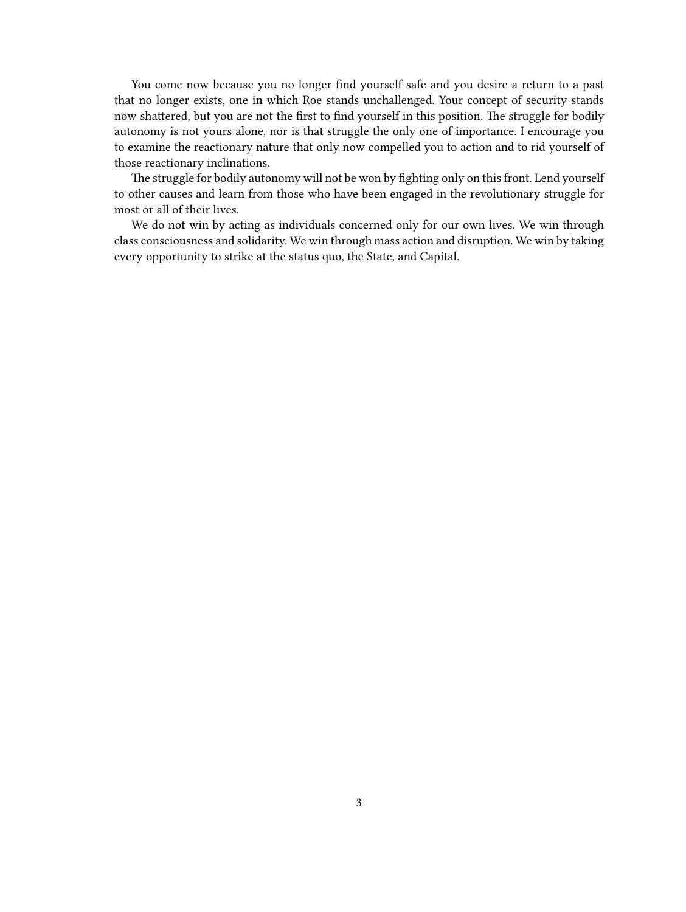You come now because you no longer find yourself safe and you desire a return to a past that no longer exists, one in which Roe stands unchallenged. Your concept of security stands now shattered, but you are not the first to find yourself in this position. The struggle for bodily autonomy is not yours alone, nor is that struggle the only one of importance. I encourage you to examine the reactionary nature that only now compelled you to action and to rid yourself of those reactionary inclinations.

The struggle for bodily autonomy will not be won by fighting only on this front. Lend yourself to other causes and learn from those who have been engaged in the revolutionary struggle for most or all of their lives.

We do not win by acting as individuals concerned only for our own lives. We win through class consciousness and solidarity. We win through mass action and disruption. We win by taking every opportunity to strike at the status quo, the State, and Capital.